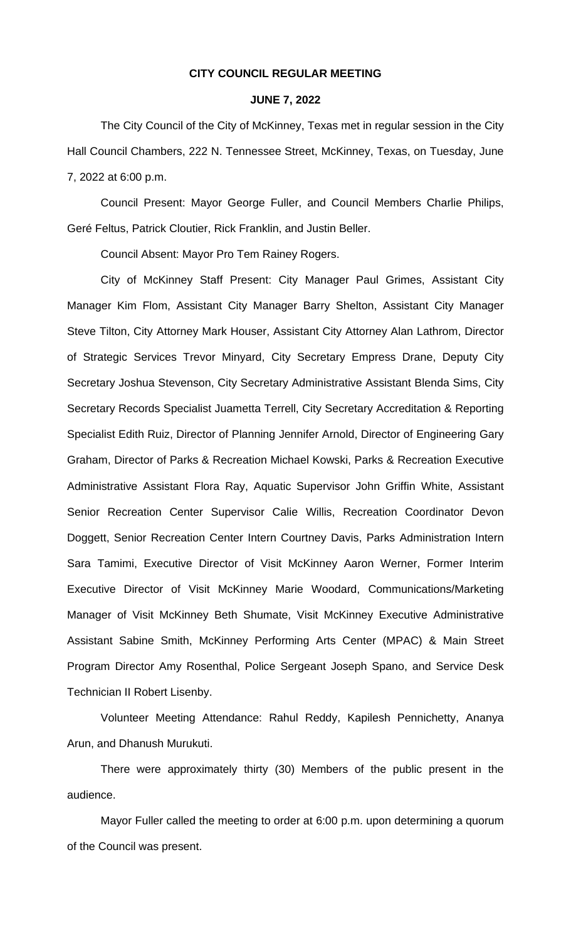# **CITY COUNCIL REGULAR MEETING**

#### **JUNE 7, 2022**

The City Council of the City of McKinney, Texas met in regular session in the City Hall Council Chambers, 222 N. Tennessee Street, McKinney, Texas, on Tuesday, June 7, 2022 at 6:00 p.m.

Council Present: Mayor George Fuller, and Council Members Charlie Philips, Geré Feltus, Patrick Cloutier, Rick Franklin, and Justin Beller.

Council Absent: Mayor Pro Tem Rainey Rogers.

City of McKinney Staff Present: City Manager Paul Grimes, Assistant City Manager Kim Flom, Assistant City Manager Barry Shelton, Assistant City Manager Steve Tilton, City Attorney Mark Houser, Assistant City Attorney Alan Lathrom, Director of Strategic Services Trevor Minyard, City Secretary Empress Drane, Deputy City Secretary Joshua Stevenson, City Secretary Administrative Assistant Blenda Sims, City Secretary Records Specialist Juametta Terrell, City Secretary Accreditation & Reporting Specialist Edith Ruiz, Director of Planning Jennifer Arnold, Director of Engineering Gary Graham, Director of Parks & Recreation Michael Kowski, Parks & Recreation Executive Administrative Assistant Flora Ray, Aquatic Supervisor John Griffin White, Assistant Senior Recreation Center Supervisor Calie Willis, Recreation Coordinator Devon Doggett, Senior Recreation Center Intern Courtney Davis, Parks Administration Intern Sara Tamimi, Executive Director of Visit McKinney Aaron Werner, Former Interim Executive Director of Visit McKinney Marie Woodard, Communications/Marketing Manager of Visit McKinney Beth Shumate, Visit McKinney Executive Administrative Assistant Sabine Smith, McKinney Performing Arts Center (MPAC) & Main Street Program Director Amy Rosenthal, Police Sergeant Joseph Spano, and Service Desk Technician II Robert Lisenby.

Volunteer Meeting Attendance: Rahul Reddy, Kapilesh Pennichetty, Ananya Arun, and Dhanush Murukuti.

There were approximately thirty (30) Members of the public present in the audience.

Mayor Fuller called the meeting to order at 6:00 p.m. upon determining a quorum of the Council was present.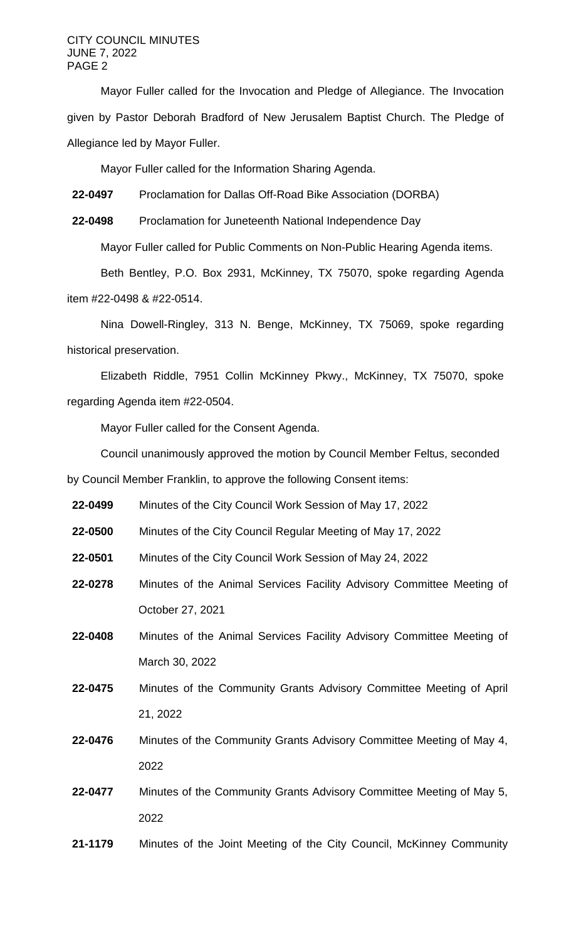#### CITY COUNCIL MINUTES JUNE 7, 2022 PAGE 2

Mayor Fuller called for the Invocation and Pledge of Allegiance. The Invocation given by Pastor Deborah Bradford of New Jerusalem Baptist Church. The Pledge of Allegiance led by Mayor Fuller.

Mayor Fuller called for the Information Sharing Agenda.

**22-0497** Proclamation for Dallas Off-Road Bike Association (DORBA)

**22-0498** Proclamation for Juneteenth National Independence Day

Mayor Fuller called for Public Comments on Non-Public Hearing Agenda items.

Beth Bentley, P.O. Box 2931, McKinney, TX 75070, spoke regarding Agenda item #22-0498 & #22-0514.

Nina Dowell-Ringley, 313 N. Benge, McKinney, TX 75069, spoke regarding historical preservation.

Elizabeth Riddle, 7951 Collin McKinney Pkwy., McKinney, TX 75070, spoke regarding Agenda item #22-0504.

Mayor Fuller called for the Consent Agenda.

Council unanimously approved the motion by Council Member Feltus, seconded by Council Member Franklin, to approve the following Consent items:

**22-0499** Minutes of the City Council Work Session of May 17, 2022

- **22-0500** Minutes of the City Council Regular Meeting of May 17, 2022
- **22-0501** Minutes of the City Council Work Session of May 24, 2022
- **22-0278** Minutes of the Animal Services Facility Advisory Committee Meeting of October 27, 2021
- **22-0408** Minutes of the Animal Services Facility Advisory Committee Meeting of March 30, 2022
- **22-0475** Minutes of the Community Grants Advisory Committee Meeting of April 21, 2022
- **22-0476** Minutes of the Community Grants Advisory Committee Meeting of May 4, 2022
- **22-0477** Minutes of the Community Grants Advisory Committee Meeting of May 5, 2022
- **21-1179** Minutes of the Joint Meeting of the City Council, McKinney Community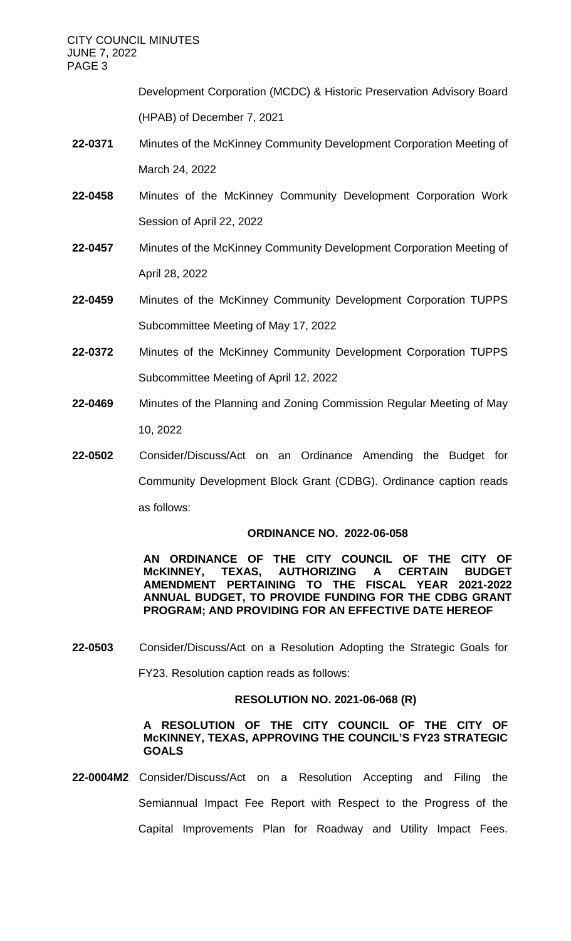Development Corporation (MCDC) & Historic Preservation Advisory Board (HPAB) of December 7, 2021

- **22-0371** Minutes of the McKinney Community Development Corporation Meeting of March 24, 2022
- **22-0458** Minutes of the McKinney Community Development Corporation Work Session of April 22, 2022
- **22-0457** Minutes of the McKinney Community Development Corporation Meeting of April 28, 2022
- **22-0459** Minutes of the McKinney Community Development Corporation TUPPS Subcommittee Meeting of May 17, 2022
- **22-0372** Minutes of the McKinney Community Development Corporation TUPPS Subcommittee Meeting of April 12, 2022
- **22-0469** Minutes of the Planning and Zoning Commission Regular Meeting of May 10, 2022
- **22-0502** Consider/Discuss/Act on an Ordinance Amending the Budget for Community Development Block Grant (CDBG). Ordinance caption reads as follows:

# **ORDINANCE NO. 2022-06-058**

**AN ORDINANCE OF THE CITY COUNCIL OF THE CITY OF AUTHORIZING AMENDMENT PERTAINING TO THE FISCAL YEAR 2021-2022 ANNUAL BUDGET, TO PROVIDE FUNDING FOR THE CDBG GRANT PROGRAM; AND PROVIDING FOR AN EFFECTIVE DATE HEREOF**

**22-0503** Consider/Discuss/Act on a Resolution Adopting the Strategic Goals for

FY23. Resolution caption reads as follows:

# **RESOLUTION NO. 2021-06-068 (R)**

# **A RESOLUTION OF THE CITY COUNCIL OF THE CITY OF McKINNEY, TEXAS, APPROVING THE COUNCIL'S FY23 STRATEGIC GOALS**

**22-0004M2** Consider/Discuss/Act on a Resolution Accepting and Filing the Semiannual Impact Fee Report with Respect to the Progress of the Capital Improvements Plan for Roadway and Utility Impact Fees.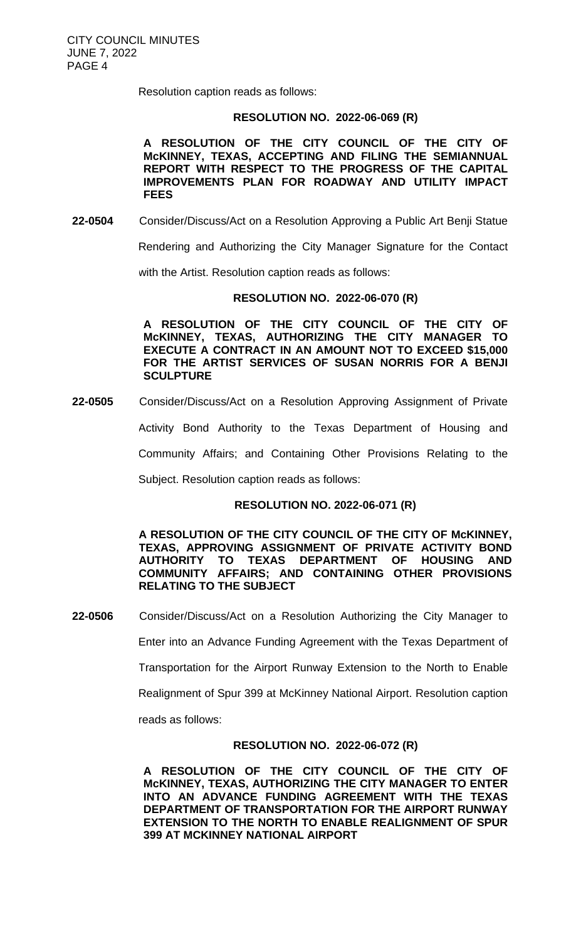Resolution caption reads as follows:

#### **RESOLUTION NO. 2022-06-069 (R)**

**A RESOLUTION OF THE CITY COUNCIL OF THE CITY OF McKINNEY, TEXAS, ACCEPTING AND FILING THE SEMIANNUAL REPORT WITH RESPECT TO THE PROGRESS OF THE CAPITAL IMPROVEMENTS PLAN FOR ROADWAY AND UTILITY IMPACT FEES**

**22-0504** Consider/Discuss/Act on a Resolution Approving a Public Art Benji Statue

Rendering and Authorizing the City Manager Signature for the Contact

with the Artist. Resolution caption reads as follows:

#### **RESOLUTION NO. 2022-06-070 (R)**

**A RESOLUTION OF THE CITY COUNCIL OF THE CITY OF McKINNEY, TEXAS, AUTHORIZING THE CITY MANAGER TO EXECUTE A CONTRACT IN AN AMOUNT NOT TO EXCEED \$15,000 FOR THE ARTIST SERVICES OF SUSAN NORRIS FOR A BENJI SCULPTURE**

**22-0505** Consider/Discuss/Act on a Resolution Approving Assignment of Private

Activity Bond Authority to the Texas Department of Housing and

Community Affairs; and Containing Other Provisions Relating to the

Subject. Resolution caption reads as follows:

#### **RESOLUTION NO. 2022-06-071 (R)**

**A RESOLUTION OF THE CITY COUNCIL OF THE CITY OF McKINNEY, TEXAS, APPROVING ASSIGNMENT OF PRIVATE ACTIVITY BOND AUTHORITY TO TEXAS DEPARTMENT OF HOUSING AND COMMUNITY AFFAIRS; AND CONTAINING OTHER PROVISIONS RELATING TO THE SUBJECT**

**22-0506** Consider/Discuss/Act on a Resolution Authorizing the City Manager to

Enter into an Advance Funding Agreement with the Texas Department of

Transportation for the Airport Runway Extension to the North to Enable

Realignment of Spur 399 at McKinney National Airport. Resolution caption

reads as follows:

#### **RESOLUTION NO. 2022-06-072 (R)**

**A RESOLUTION OF THE CITY COUNCIL OF THE CITY OF McKINNEY, TEXAS, AUTHORIZING THE CITY MANAGER TO ENTER INTO AN ADVANCE FUNDING AGREEMENT WITH THE TEXAS DEPARTMENT OF TRANSPORTATION FOR THE AIRPORT RUNWAY EXTENSION TO THE NORTH TO ENABLE REALIGNMENT OF SPUR 399 AT MCKINNEY NATIONAL AIRPORT**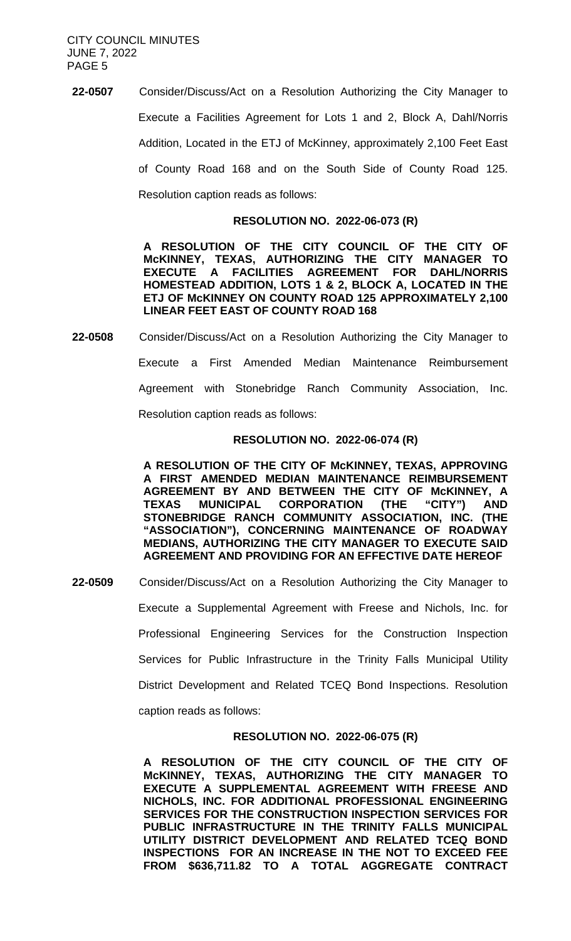**22-0507** Consider/Discuss/Act on a Resolution Authorizing the City Manager to Execute a Facilities Agreement for Lots 1 and 2, Block A, Dahl/Norris Addition, Located in the ETJ of McKinney, approximately 2,100 Feet East of County Road 168 and on the South Side of County Road 125. Resolution caption reads as follows:

#### **RESOLUTION NO. 2022-06-073 (R)**

**A RESOLUTION OF THE CITY COUNCIL OF THE CITY OF McKINNEY, TEXAS, AUTHORIZING THE CITY MANAGER TO EXECUTE A FACILITIES AGREEMENT FOR DAHL/NORRIS HOMESTEAD ADDITION, LOTS 1 & 2, BLOCK A, LOCATED IN THE ETJ OF McKINNEY ON COUNTY ROAD 125 APPROXIMATELY 2,100 LINEAR FEET EAST OF COUNTY ROAD 168**

**22-0508** Consider/Discuss/Act on a Resolution Authorizing the City Manager to Execute a First Amended Median Maintenance Reimbursement Agreement with Stonebridge Ranch Community Association, Inc. Resolution caption reads as follows:

# **RESOLUTION NO. 2022-06-074 (R)**

**A RESOLUTION OF THE CITY OF McKINNEY, TEXAS, APPROVING A FIRST AMENDED MEDIAN MAINTENANCE REIMBURSEMENT AGREEMENT BY AND BETWEEN THE CITY OF McKINNEY, A TEXAS MUNICIPAL CORPORATION (THE "CITY") AND STONEBRIDGE RANCH COMMUNITY ASSOCIATION, INC. (THE "ASSOCIATION"), CONCERNING MAINTENANCE OF ROADWAY MEDIANS, AUTHORIZING THE CITY MANAGER TO EXECUTE SAID AGREEMENT AND PROVIDING FOR AN EFFECTIVE DATE HEREOF**

**22-0509** Consider/Discuss/Act on a Resolution Authorizing the City Manager to Execute a Supplemental Agreement with Freese and Nichols, Inc. for Professional Engineering Services for the Construction Inspection Services for Public Infrastructure in the Trinity Falls Municipal Utility District Development and Related TCEQ Bond Inspections. Resolution caption reads as follows:

# **RESOLUTION NO. 2022-06-075 (R)**

**A RESOLUTION OF THE CITY COUNCIL OF THE CITY OF McKINNEY, TEXAS, AUTHORIZING THE CITY MANAGER TO EXECUTE A SUPPLEMENTAL AGREEMENT WITH FREESE AND NICHOLS, INC. FOR ADDITIONAL PROFESSIONAL ENGINEERING SERVICES FOR THE CONSTRUCTION INSPECTION SERVICES FOR PUBLIC INFRASTRUCTURE IN THE TRINITY FALLS MUNICIPAL UTILITY DISTRICT DEVELOPMENT AND RELATED TCEQ BOND INSPECTIONS FOR AN INCREASE IN THE NOT TO EXCEED FEE FROM \$636,711.82 TO A TOTAL AGGREGATE CONTRACT**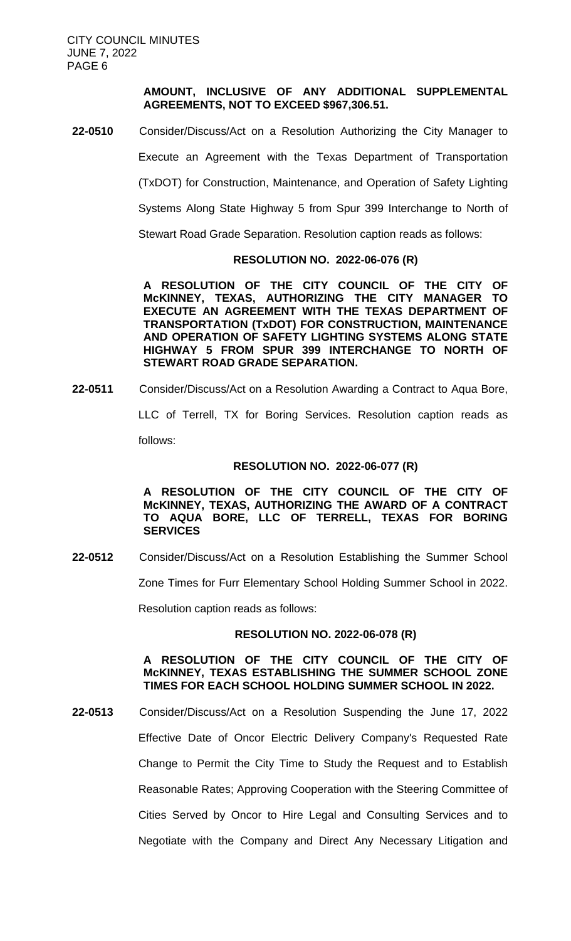# **AMOUNT, INCLUSIVE OF ANY ADDITIONAL SUPPLEMENTAL AGREEMENTS, NOT TO EXCEED \$967,306.51.**

**22-0510** Consider/Discuss/Act on a Resolution Authorizing the City Manager to

Execute an Agreement with the Texas Department of Transportation

(TxDOT) for Construction, Maintenance, and Operation of Safety Lighting

Systems Along State Highway 5 from Spur 399 Interchange to North of

Stewart Road Grade Separation. Resolution caption reads as follows:

# **RESOLUTION NO. 2022-06-076 (R)**

**A RESOLUTION OF THE CITY COUNCIL OF THE CITY OF McKINNEY, TEXAS, AUTHORIZING THE CITY MANAGER TO EXECUTE AN AGREEMENT WITH THE TEXAS DEPARTMENT OF TRANSPORTATION (TxDOT) FOR CONSTRUCTION, MAINTENANCE AND OPERATION OF SAFETY LIGHTING SYSTEMS ALONG STATE HIGHWAY 5 FROM SPUR 399 INTERCHANGE TO NORTH OF STEWART ROAD GRADE SEPARATION.**

**22-0511** Consider/Discuss/Act on a Resolution Awarding a Contract to Aqua Bore,

LLC of Terrell, TX for Boring Services. Resolution caption reads as follows:

# **RESOLUTION NO. 2022-06-077 (R)**

**A RESOLUTION OF THE CITY COUNCIL OF THE CITY OF McKINNEY, TEXAS, AUTHORIZING THE AWARD OF A CONTRACT TO AQUA BORE, LLC OF TERRELL, TEXAS FOR BORING SERVICES**

**22-0512** Consider/Discuss/Act on a Resolution Establishing the Summer School

Zone Times for Furr Elementary School Holding Summer School in 2022.

Resolution caption reads as follows:

# **RESOLUTION NO. 2022-06-078 (R)**

# **A RESOLUTION OF THE CITY COUNCIL OF THE CITY OF McKINNEY, TEXAS ESTABLISHING THE SUMMER SCHOOL ZONE TIMES FOR EACH SCHOOL HOLDING SUMMER SCHOOL IN 2022.**

**22-0513** Consider/Discuss/Act on a Resolution Suspending the June 17, 2022 Effective Date of Oncor Electric Delivery Company's Requested Rate Change to Permit the City Time to Study the Request and to Establish Reasonable Rates; Approving Cooperation with the Steering Committee of Cities Served by Oncor to Hire Legal and Consulting Services and to Negotiate with the Company and Direct Any Necessary Litigation and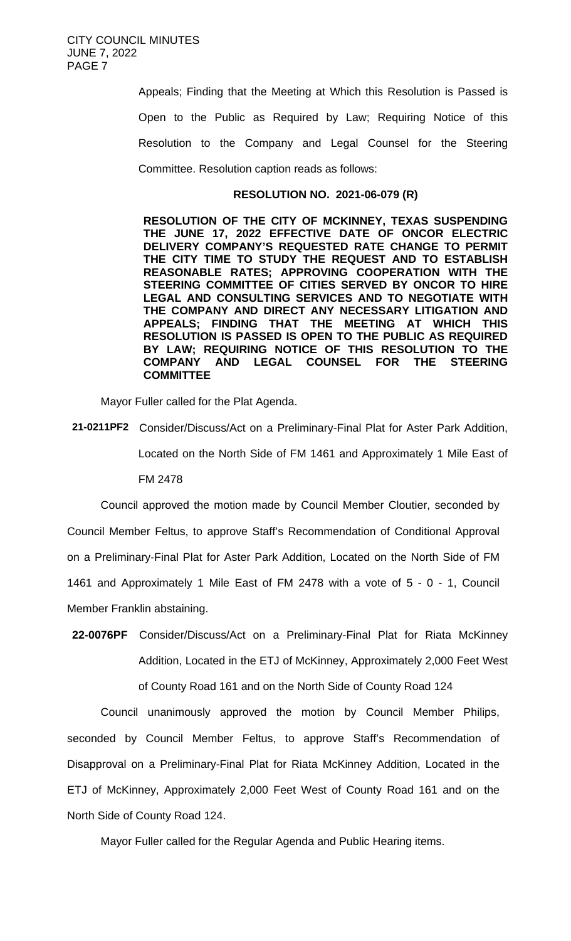Appeals; Finding that the Meeting at Which this Resolution is Passed is Open to the Public as Required by Law; Requiring Notice of this Resolution to the Company and Legal Counsel for the Steering Committee. Resolution caption reads as follows:

#### **RESOLUTION NO. 2021-06-079 (R)**

**RESOLUTION OF THE CITY OF MCKINNEY, TEXAS SUSPENDING THE JUNE 17, 2022 EFFECTIVE DATE OF ONCOR ELECTRIC DELIVERY COMPANY'S REQUESTED RATE CHANGE TO PERMIT THE CITY TIME TO STUDY THE REQUEST AND TO ESTABLISH REASONABLE RATES; APPROVING COOPERATION WITH THE STEERING COMMITTEE OF CITIES SERVED BY ONCOR TO HIRE LEGAL AND CONSULTING SERVICES AND TO NEGOTIATE WITH THE COMPANY AND DIRECT ANY NECESSARY LITIGATION AND APPEALS; FINDING THAT THE MEETING AT WHICH THIS RESOLUTION IS PASSED IS OPEN TO THE PUBLIC AS REQUIRED BY LAW; REQUIRING NOTICE OF THIS RESOLUTION TO THE COMPANY AND LEGAL COUNSEL FOR THE STEERING COMMITTEE**

Mayor Fuller called for the Plat Agenda.

**21-0211PF2** Consider/Discuss/Act on a Preliminary-Final Plat for Aster Park Addition, Located on the North Side of FM 1461 and Approximately 1 Mile East of FM 2478

Council approved the motion made by Council Member Cloutier, seconded by Council Member Feltus, to approve Staff's Recommendation of Conditional Approval on a Preliminary-Final Plat for Aster Park Addition, Located on the North Side of FM 1461 and Approximately 1 Mile East of FM 2478 with a vote of 5 - 0 - 1, Council Member Franklin abstaining.

**22-0076PF** Consider/Discuss/Act on a Preliminary-Final Plat for Riata McKinney Addition, Located in the ETJ of McKinney, Approximately 2,000 Feet West of County Road 161 and on the North Side of County Road 124

Council unanimously approved the motion by Council Member Philips, seconded by Council Member Feltus, to approve Staff's Recommendation of Disapproval on a Preliminary-Final Plat for Riata McKinney Addition, Located in the ETJ of McKinney, Approximately 2,000 Feet West of County Road 161 and on the North Side of County Road 124.

Mayor Fuller called for the Regular Agenda and Public Hearing items.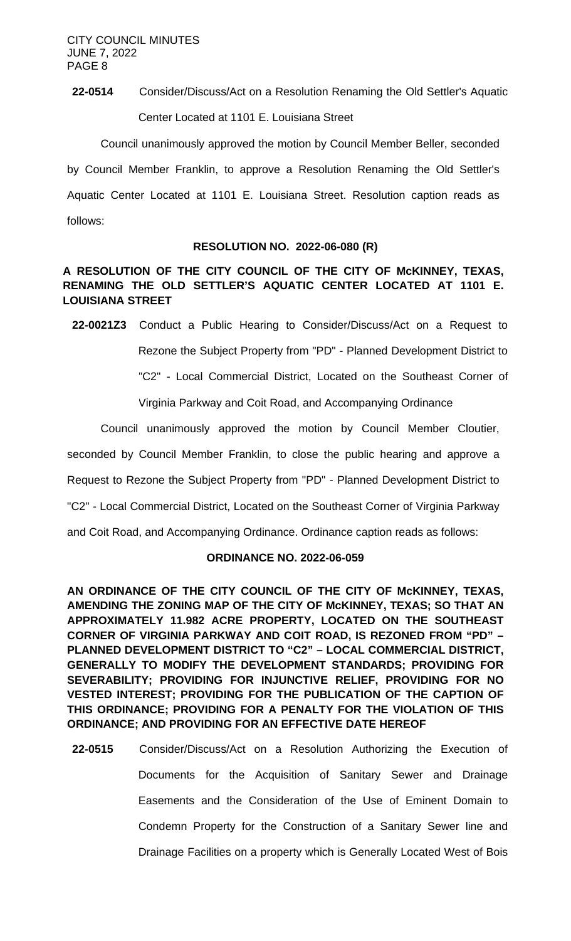**22-0514** Consider/Discuss/Act on a Resolution Renaming the Old Settler's Aquatic Center Located at 1101 E. Louisiana Street

Council unanimously approved the motion by Council Member Beller, seconded by Council Member Franklin, to approve a Resolution Renaming the Old Settler's Aquatic Center Located at 1101 E. Louisiana Street. Resolution caption reads as follows:

# **RESOLUTION NO. 2022-06-080 (R)**

# **A RESOLUTION OF THE CITY COUNCIL OF THE CITY OF McKINNEY, TEXAS, RENAMING THE OLD SETTLER'S AQUATIC CENTER LOCATED AT 1101 E. LOUISIANA STREET**

**22-0021Z3** Conduct a Public Hearing to Consider/Discuss/Act on a Request to Rezone the Subject Property from "PD" - Planned Development District to "C2" - Local Commercial District, Located on the Southeast Corner of

Virginia Parkway and Coit Road, and Accompanying Ordinance

Council unanimously approved the motion by Council Member Cloutier, seconded by Council Member Franklin, to close the public hearing and approve a Request to Rezone the Subject Property from "PD" - Planned Development District to

"C2" - Local Commercial District, Located on the Southeast Corner of Virginia Parkway

and Coit Road, and Accompanying Ordinance. Ordinance caption reads as follows:

# **ORDINANCE NO. 2022-06-059**

**AN ORDINANCE OF THE CITY COUNCIL OF THE CITY OF McKINNEY, TEXAS, AMENDING THE ZONING MAP OF THE CITY OF McKINNEY, TEXAS; SO THAT AN APPROXIMATELY 11.982 ACRE PROPERTY, LOCATED ON THE SOUTHEAST CORNER OF VIRGINIA PARKWAY AND COIT ROAD, IS REZONED FROM "PD" – PLANNED DEVELOPMENT DISTRICT TO "C2" – LOCAL COMMERCIAL DISTRICT, GENERALLY TO MODIFY THE DEVELOPMENT STANDARDS; PROVIDING FOR SEVERABILITY; PROVIDING FOR INJUNCTIVE RELIEF, PROVIDING FOR NO VESTED INTEREST; PROVIDING FOR THE PUBLICATION OF THE CAPTION OF THIS ORDINANCE; PROVIDING FOR A PENALTY FOR THE VIOLATION OF THIS ORDINANCE; AND PROVIDING FOR AN EFFECTIVE DATE HEREOF**

**22-0515** Consider/Discuss/Act on a Resolution Authorizing the Execution of Documents for the Acquisition of Sanitary Sewer and Drainage Easements and the Consideration of the Use of Eminent Domain to Condemn Property for the Construction of a Sanitary Sewer line and Drainage Facilities on a property which is Generally Located West of Bois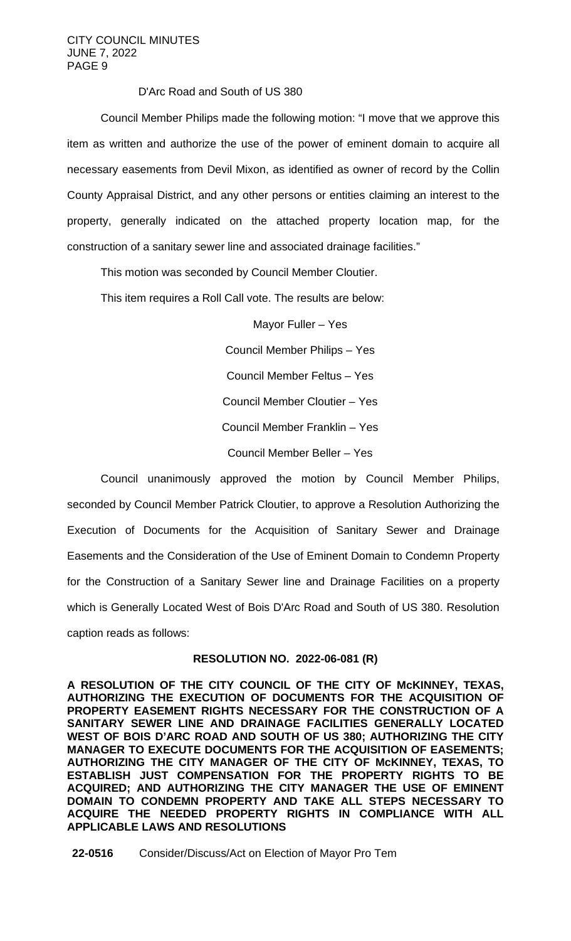# D'Arc Road and South of US 380

Council Member Philips made the following motion: "I move that we approve this item as written and authorize the use of the power of eminent domain to acquire all necessary easements from Devil Mixon, as identified as owner of record by the Collin County Appraisal District, and any other persons or entities claiming an interest to the property, generally indicated on the attached property location map, for the construction of a sanitary sewer line and associated drainage facilities."

This motion was seconded by Council Member Cloutier.

This item requires a Roll Call vote. The results are below:

Mayor Fuller – Yes

Council Member Philips – Yes

Council Member Feltus – Yes

Council Member Cloutier – Yes

Council Member Franklin – Yes

Council Member Beller – Yes

Council unanimously approved the motion by Council Member Philips, seconded by Council Member Patrick Cloutier, to approve a Resolution Authorizing the Execution of Documents for the Acquisition of Sanitary Sewer and Drainage Easements and the Consideration of the Use of Eminent Domain to Condemn Property for the Construction of a Sanitary Sewer line and Drainage Facilities on a property which is Generally Located West of Bois D'Arc Road and South of US 380. Resolution caption reads as follows:

# **RESOLUTION NO. 2022-06-081 (R)**

**A RESOLUTION OF THE CITY COUNCIL OF THE CITY OF McKINNEY, TEXAS, AUTHORIZING THE EXECUTION OF DOCUMENTS FOR THE ACQUISITION OF PROPERTY EASEMENT RIGHTS NECESSARY FOR THE CONSTRUCTION OF A SANITARY SEWER LINE AND DRAINAGE FACILITIES GENERALLY LOCATED WEST OF BOIS D'ARC ROAD AND SOUTH OF US 380; AUTHORIZING THE CITY MANAGER TO EXECUTE DOCUMENTS FOR THE ACQUISITION OF EASEMENTS; AUTHORIZING THE CITY MANAGER OF THE CITY OF McKINNEY, TEXAS, TO ESTABLISH JUST COMPENSATION FOR THE PROPERTY RIGHTS TO BE ACQUIRED; AND AUTHORIZING THE CITY MANAGER THE USE OF EMINENT DOMAIN TO CONDEMN PROPERTY AND TAKE ALL STEPS NECESSARY TO ACQUIRE THE NEEDED PROPERTY RIGHTS IN COMPLIANCE WITH ALL APPLICABLE LAWS AND RESOLUTIONS**

**22-0516** Consider/Discuss/Act on Election of Mayor Pro Tem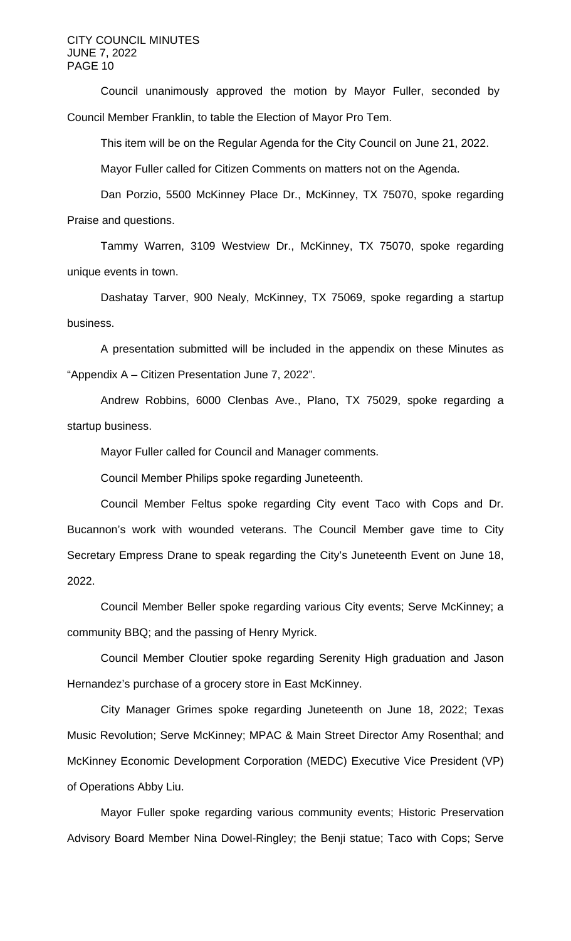CITY COUNCIL MINUTES JUNE 7, 2022 PAGE 10

Council unanimously approved the motion by Mayor Fuller, seconded by Council Member Franklin, to table the Election of Mayor Pro Tem.

This item will be on the Regular Agenda for the City Council on June 21, 2022.

Mayor Fuller called for Citizen Comments on matters not on the Agenda.

Dan Porzio, 5500 McKinney Place Dr., McKinney, TX 75070, spoke regarding Praise and questions.

Tammy Warren, 3109 Westview Dr., McKinney, TX 75070, spoke regarding unique events in town.

Dashatay Tarver, 900 Nealy, McKinney, TX 75069, spoke regarding a startup business.

A presentation submitted will be included in the appendix on these Minutes as "Appendix A – Citizen Presentation June 7, 2022".

Andrew Robbins, 6000 Clenbas Ave., Plano, TX 75029, spoke regarding a startup business.

Mayor Fuller called for Council and Manager comments.

Council Member Philips spoke regarding Juneteenth.

Council Member Feltus spoke regarding City event Taco with Cops and Dr. Bucannon's work with wounded veterans. The Council Member gave time to City Secretary Empress Drane to speak regarding the City's Juneteenth Event on June 18, 2022.

Council Member Beller spoke regarding various City events; Serve McKinney; a community BBQ; and the passing of Henry Myrick.

Council Member Cloutier spoke regarding Serenity High graduation and Jason Hernandez's purchase of a grocery store in East McKinney.

City Manager Grimes spoke regarding Juneteenth on June 18, 2022; Texas Music Revolution; Serve McKinney; MPAC & Main Street Director Amy Rosenthal; and McKinney Economic Development Corporation (MEDC) Executive Vice President (VP) of Operations Abby Liu.

Mayor Fuller spoke regarding various community events; Historic Preservation Advisory Board Member Nina Dowel-Ringley; the Benji statue; Taco with Cops; Serve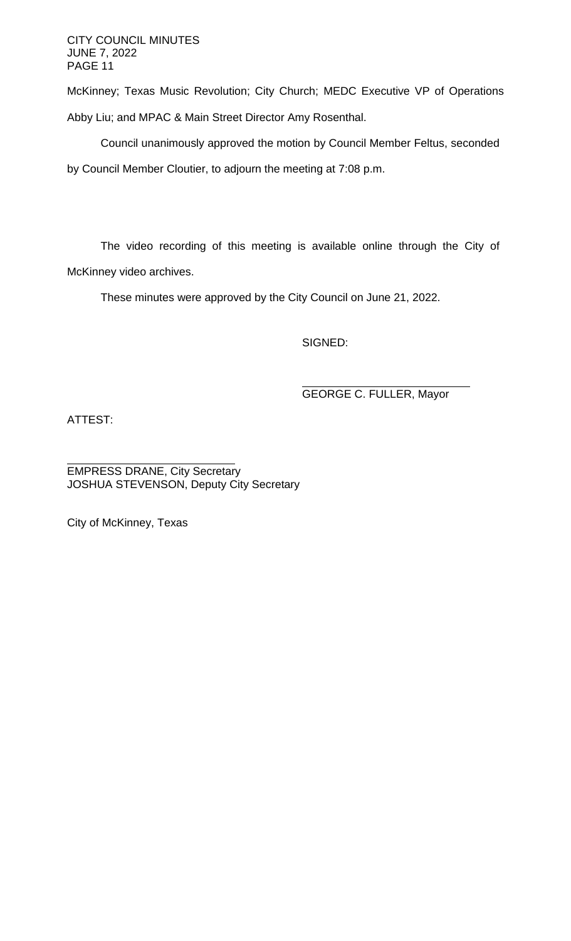CITY COUNCIL MINUTES JUNE 7, 2022 PAGE 11

McKinney; Texas Music Revolution; City Church; MEDC Executive VP of Operations Abby Liu; and MPAC & Main Street Director Amy Rosenthal.

Council unanimously approved the motion by Council Member Feltus, seconded by Council Member Cloutier, to adjourn the meeting at 7:08 p.m.

The video recording of this meeting is available online through the City of McKinney video archives.

These minutes were approved by the City Council on June 21, 2022.

SIGNED:

GEORGE C. FULLER, Mayor

ATTEST:

EMPRESS DRANE, City Secretary JOSHUA STEVENSON, Deputy City Secretary

City of McKinney, Texas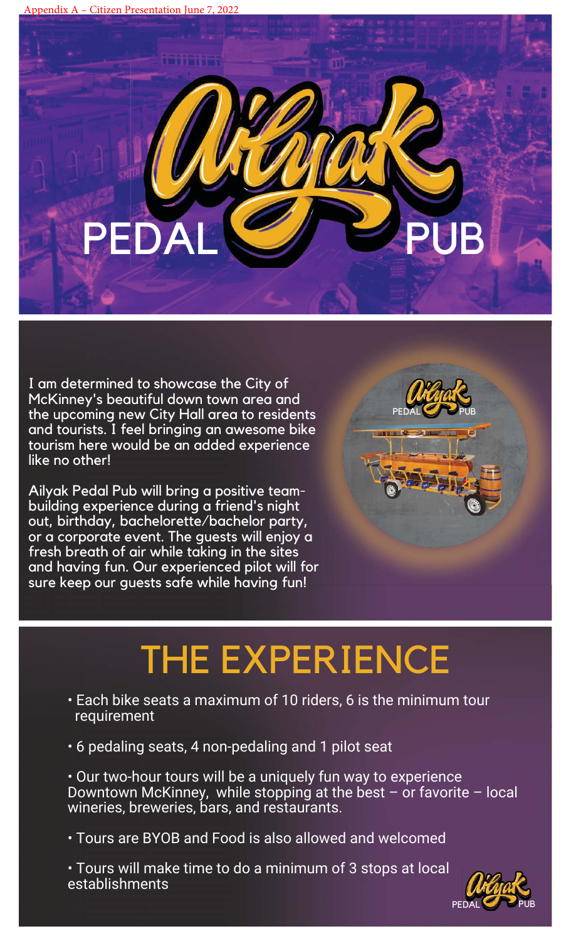PED

I am determined to showcase the City of McKinney's beautiful down town area and the upcoming new City Hall area to residents and tourists. I feel bringing an awesome bike tourism here would be an added experience like no other!

Ailyak Pedal Pub will bring a positive teambuilding experience during a friend's night out, birthday, bachelorette/bachelor party, or a corporate event. The guests will enjoy a fresh breath of air while taking in the sites and having fun. Our experienced pilot will for sure keep our guests safe while having fun!



# THE EXPERIENCE

- Each bike seats a maximum of 10 riders, 6 is the minimum tour requirement
- 6 pedaling seats, 4 non-pedaling and 1 pilot seat

• Our two-hour tours will be a uniquely fun way to experience Downtown McKinney, while stopping at the best – or favorite – local wineries, breweries, bars, and restaurants.

• Tours are BYOB and Food is also allowed and welcomed

• Tours will make time to do a minimum of 3 stops at local establishments

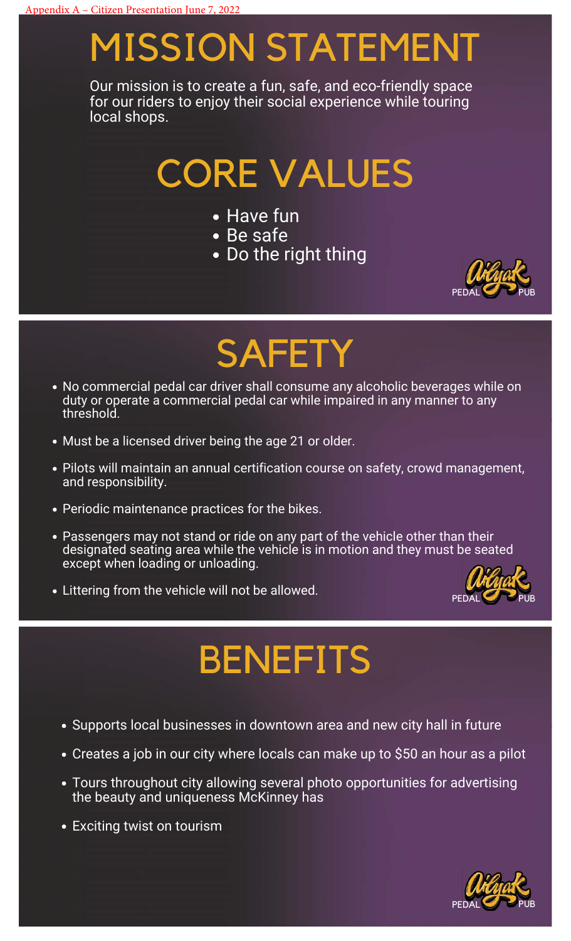# MISSION STATEMENT

Our mission is to create a fun, safe, and eco-friendly space for our riders to enjoy their social experience while touring local shops.

# CORE VALUES

- Have fun
- Be safe
- . Do the right thing



# **SAFETY**

- No commercial pedal car driver shall consume any alcoholic beverages while on duty or operate a commercial pedal car while impaired in any manner to any threshold.
- Must be a licensed driver being the age 21 or older.
- Pilots will maintain an annual certification course on safety, crowd management, and responsibility.
- Periodic maintenance practices for the bikes.
- Passengers may not stand or ride on any part of the vehicle other than their designated seating area while the vehicle is in motion and they must be seated except when loading or unloading.
- Littering from the vehicle will not be allowed.



# **BENEFITS**

- Supports local businesses in downtown area and new city hall in future
- Creates a job in our city where locals can make up to \$50 an hour as a pilot
- Tours throughout city allowing several photo opportunities for advertising the beauty and uniqueness McKinney has
- Exciting twist on tourism